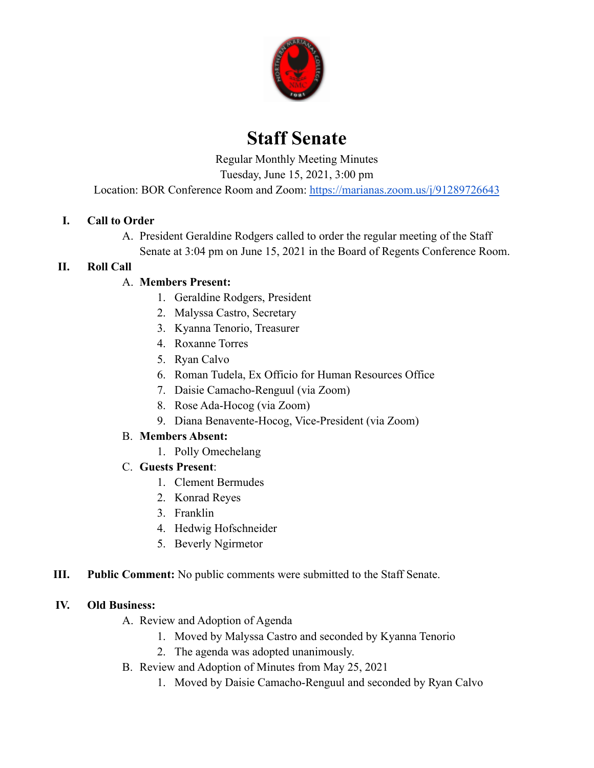

# **Staff Senate**

Regular Monthly Meeting Minutes

Tuesday, June 15, 2021, 3:00 pm

Location: BOR Conference Room and Zoom: <https://marianas.zoom.us/j/91289726643>

# **I. Call to Order**

A. President Geraldine Rodgers called to order the regular meeting of the Staff Senate at 3:04 pm on June 15, 2021 in the Board of Regents Conference Room.

#### **II. Roll Call**

# A. **Members Present:**

- 1. Geraldine Rodgers, President
- 2. Malyssa Castro, Secretary
- 3. Kyanna Tenorio, Treasurer
- 4. Roxanne Torres
- 5. Ryan Calvo
- 6. Roman Tudela, Ex Officio for Human Resources Office
- 7. Daisie Camacho-Renguul (via Zoom)
- 8. Rose Ada-Hocog (via Zoom)
- 9. Diana Benavente-Hocog, Vice-President (via Zoom)

#### B. **Members Absent:**

- 1. Polly Omechelang
- C. **Guests Present**:
	- 1. Clement Bermudes
	- 2. Konrad Reyes
	- 3. Franklin
	- 4. Hedwig Hofschneider
	- 5. Beverly Ngirmetor
- **III. Public Comment:** No public comments were submitted to the Staff Senate.

#### **IV. Old Business:**

- A. Review and Adoption of Agenda
	- 1. Moved by Malyssa Castro and seconded by Kyanna Tenorio
	- 2. The agenda was adopted unanimously.
- B. Review and Adoption of Minutes from May 25, 2021
	- 1. Moved by Daisie Camacho-Renguul and seconded by Ryan Calvo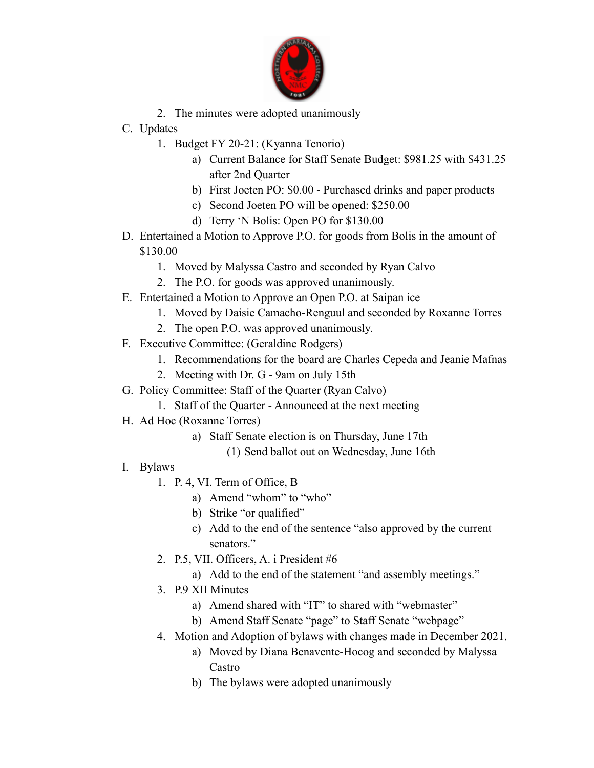

- 2. The minutes were adopted unanimously
- C. Updates
	- 1. Budget FY 20-21: (Kyanna Tenorio)
		- a) Current Balance for Staff Senate Budget: \$981.25 with \$431.25 after 2nd Quarter
		- b) First Joeten PO: \$0.00 Purchased drinks and paper products
		- c) Second Joeten PO will be opened: \$250.00
		- d) Terry 'N Bolis: Open PO for \$130.00
- D. Entertained a Motion to Approve P.O. for goods from Bolis in the amount of \$130.00
	- 1. Moved by Malyssa Castro and seconded by Ryan Calvo
	- 2. The P.O. for goods was approved unanimously.
- E. Entertained a Motion to Approve an Open P.O. at Saipan ice
	- 1. Moved by Daisie Camacho-Renguul and seconded by Roxanne Torres
	- 2. The open P.O. was approved unanimously.
- F. Executive Committee: (Geraldine Rodgers)
	- 1. Recommendations for the board are Charles Cepeda and Jeanie Mafnas
	- 2. Meeting with Dr. G 9am on July 15th
- G. Policy Committee: Staff of the Quarter (Ryan Calvo)
	- 1. Staff of the Quarter Announced at the next meeting
- H. Ad Hoc (Roxanne Torres)
	- a) Staff Senate election is on Thursday, June 17th
		- (1) Send ballot out on Wednesday, June 16th
- I. Bylaws
	- 1. P. 4, VI. Term of Office, B
		- a) Amend "whom" to "who"
		- b) Strike "or qualified"
		- c) Add to the end of the sentence "also approved by the current senators."
	- 2. P.5, VII. Officers, A. i President #6
		- a) Add to the end of the statement "and assembly meetings."
	- 3. P.9 XII Minutes
		- a) Amend shared with "IT" to shared with "webmaster"
		- b) Amend Staff Senate "page" to Staff Senate "webpage"
	- 4. Motion and Adoption of bylaws with changes made in December 2021.
		- a) Moved by Diana Benavente-Hocog and seconded by Malyssa Castro
		- b) The bylaws were adopted unanimously